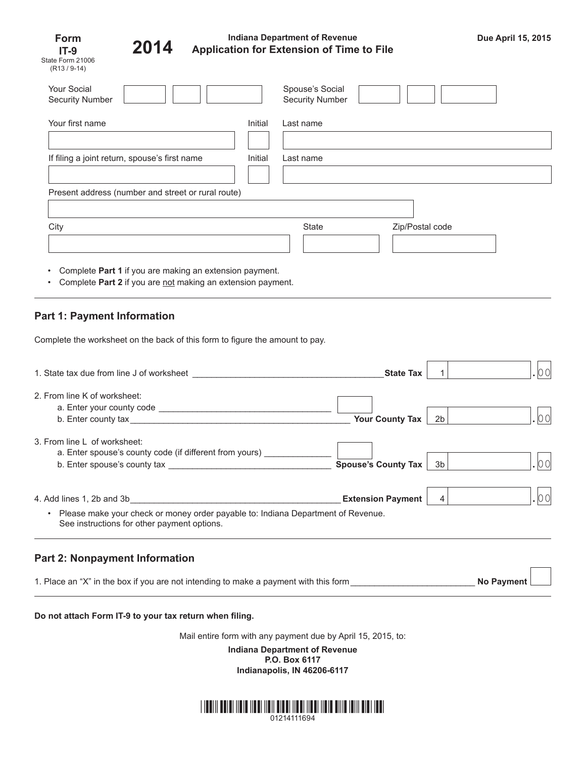| Form                     |  |  |  |
|--------------------------|--|--|--|
| IT-9                     |  |  |  |
| State Form 21006         |  |  |  |
| (R <sub>13</sub> / 9-14) |  |  |  |



## **Indiana Department of Revenue Application for Extension of Time to File Due April 15, 2015 2014**

n m

| <b>Your Social</b><br><b>Security Number</b>       |         | Spouse's Social<br><b>Security Number</b> |                 |  |  |  |
|----------------------------------------------------|---------|-------------------------------------------|-----------------|--|--|--|
| Your first name                                    | Initial | Last name                                 |                 |  |  |  |
| If filing a joint return, spouse's first name      | Initial | Last name                                 |                 |  |  |  |
| Present address (number and street or rural route) |         |                                           |                 |  |  |  |
|                                                    |         |                                           |                 |  |  |  |
| City                                               |         | State                                     | Zip/Postal code |  |  |  |

- Complete **Part 1** if you are making an extension payment.
- Complete Part 2 if you are not making an extension payment.

# **Part 1: Payment Information**

Complete the worksheet on the back of this form to figure the amount to pay.

| 1. State tax due from line J of worksheet                                                           | <b>State Tax</b>                              |                 |                   |
|-----------------------------------------------------------------------------------------------------|-----------------------------------------------|-----------------|-------------------|
| 2. From line K of worksheet:                                                                        |                                               |                 | . 00              |
| 3. From line L of worksheet:<br>a. Enter spouse's county code (if different from yours) ___________ | <b>Your County Tax</b><br>Spouse's County Tax | 2b<br>3b        | 00                |
| Please make your check or money order payable to: Indiana Department of Revenue.<br>$\bullet$       | <b>Extension Payment</b>                      | $\vert 4 \vert$ | . 00              |
| See instructions for other payment options.                                                         |                                               |                 |                   |
| <b>Part 2: Nonpayment Information</b>                                                               |                                               |                 |                   |
| 1. Place an "X" in the box if you are not intending to make a payment with this form                |                                               |                 | <b>No Payment</b> |

#### **Do not attach Form IT-9 to your tax return when filing.**

Mail entire form with any payment due by April 15, 2015, to:

**Indiana Department of Revenue P.O. Box 6117 Indianapolis, IN 46206-6117**